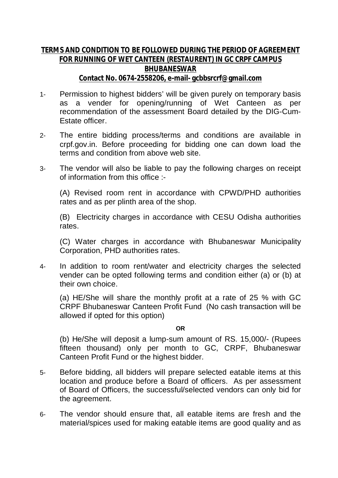## **TERMS AND CONDITION TO BE FOLLOWED DURING THE PERIOD OF AGREEMENT FOR RUNNING OF WET CANTEEN (RESTAURENT) IN GC CRPF CAMPUS BHUBANESWAR**

## **Contact No. 0674-2558206, e-mail- gcbbsrcrf@gmail.com**

- 1- Permission to highest bidders' will be given purely on temporary basis as a vender for opening/running of Wet Canteen as per recommendation of the assessment Board detailed by the DIG-Cum-Estate officer.
- 2- The entire bidding process/terms and conditions are available in crpf.gov.in. Before proceeding for bidding one can down load the terms and condition from above web site.
- 3- The vendor will also be liable to pay the following charges on receipt of information from this office :-

(A) Revised room rent in accordance with CPWD/PHD authorities rates and as per plinth area of the shop.

(B) Electricity charges in accordance with CESU Odisha authorities rates.

(C) Water charges in accordance with Bhubaneswar Municipality Corporation, PHD authorities rates.

4- In addition to room rent/water and electricity charges the selected vender can be opted following terms and condition either (a) or (b) at their own choice.

(a) HE/She will share the monthly profit at a rate of 25 % with GC CRPF Bhubaneswar Canteen Profit Fund (No cash transaction will be allowed if opted for this option)

**OR**

(b) He/She will deposit a lump-sum amount of RS. 15,000/- (Rupees fifteen thousand) only per month to GC, CRPF, Bhubaneswar Canteen Profit Fund or the highest bidder.

- 5- Before bidding, all bidders will prepare selected eatable items at this location and produce before a Board of officers. As per assessment of Board of Officers, the successful/selected vendors can only bid for the agreement.
- 6- The vendor should ensure that, all eatable items are fresh and the material/spices used for making eatable items are good quality and as